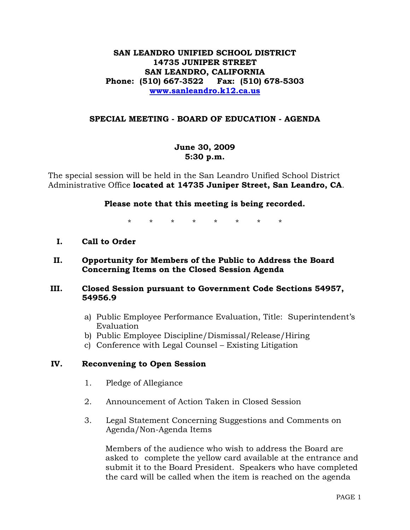## **SAN LEANDRO UNIFIED SCHOOL DISTRICT 14735 JUNIPER STREET SAN LEANDRO, CALIFORNIA Phone: (510) 667-3522 Fax: (510) 678-5303 www.sanleandro.k12.ca.us**

### **SPECIAL MEETING - BOARD OF EDUCATION - AGENDA**

## **June 30, 2009 5:30 p.m.**

The special session will be held in the San Leandro Unified School District Administrative Office **located at 14735 Juniper Street, San Leandro, CA**.

### **Please note that this meeting is being recorded.**

\* \* \* \* \* \* \* \*

### **I. Call to Order**

## **II. Opportunity for Members of the Public to Address the Board Concerning Items on the Closed Session Agenda**

### **III. Closed Session pursuant to Government Code Sections 54957, 54956.9**

- a) Public Employee Performance Evaluation, Title: Superintendent's Evaluation
- b) Public Employee Discipline/Dismissal/Release/Hiring
- c) Conference with Legal Counsel Existing Litigation

#### **IV. Reconvening to Open Session**

- 1. Pledge of Allegiance
- 2. Announcement of Action Taken in Closed Session
- 3. Legal Statement Concerning Suggestions and Comments on Agenda/Non-Agenda Items

 Members of the audience who wish to address the Board are asked to complete the yellow card available at the entrance and submit it to the Board President. Speakers who have completed the card will be called when the item is reached on the agenda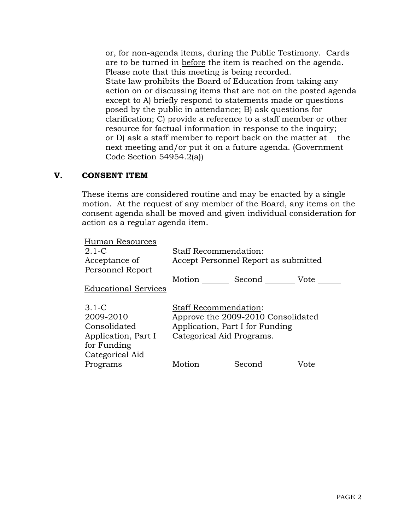or, for non-agenda items, during the Public Testimony. Cards are to be turned in before the item is reached on the agenda. Please note that this meeting is being recorded. State law prohibits the Board of Education from taking any action on or discussing items that are not on the posted agenda except to A) briefly respond to statements made or questions posed by the public in attendance; B) ask questions for clarification; C) provide a reference to a staff member or other resource for factual information in response to the inquiry; or D) ask a staff member to report back on the matter at the next meeting and/or put it on a future agenda. (Government Code Section 54954.2(a))

### **V. CONSENT ITEM**

These items are considered routine and may be enacted by a single motion. At the request of any member of the Board, any items on the consent agenda shall be moved and given individual consideration for action as a regular agenda item.

| Human Resources             |                                      |             |      |
|-----------------------------|--------------------------------------|-------------|------|
| $2.1-C$                     | <b>Staff Recommendation:</b>         |             |      |
| Acceptance of               | Accept Personnel Report as submitted |             |      |
| Personnel Report            |                                      |             |      |
|                             | Motion                               | Second Vote |      |
| <b>Educational Services</b> |                                      |             |      |
|                             |                                      |             |      |
| $3.1-C$                     | <b>Staff Recommendation:</b>         |             |      |
| 2009-2010                   | Approve the 2009-2010 Consolidated   |             |      |
| Consolidated                | Application, Part I for Funding      |             |      |
| Application, Part I         | Categorical Aid Programs.            |             |      |
| for Funding                 |                                      |             |      |
| Categorical Aid             |                                      |             |      |
| Programs                    | Motion                               | Second      | Vote |
|                             |                                      |             |      |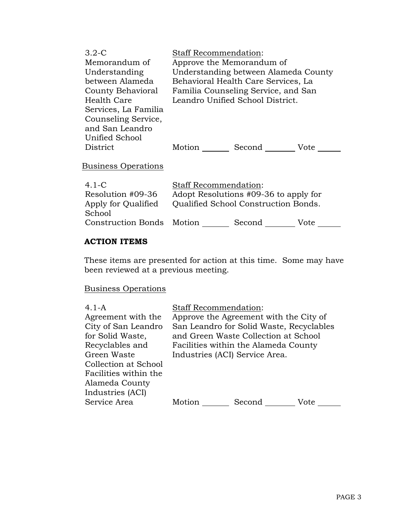| $3.2 - C$<br>Memorandum of<br>Understanding<br>between Alameda<br>County Behavioral<br>Health Care<br>Services, La Familia | Staff Recommendation:<br>Approve the Memorandum of<br>Understanding between Alameda County<br>Behavioral Health Care Services, La<br>Familia Counseling Service, and San<br>Leandro Unified School District. |               |      |
|----------------------------------------------------------------------------------------------------------------------------|--------------------------------------------------------------------------------------------------------------------------------------------------------------------------------------------------------------|---------------|------|
| Counseling Service,<br>and San Leandro<br>Unified School<br>District                                                       |                                                                                                                                                                                                              | Motion Second | Vote |
| Business Operations                                                                                                        |                                                                                                                                                                                                              |               |      |
| $4.1 - C$<br>Resolution #09-36<br>Apply for Qualified<br>School                                                            | Staff Recommendation:<br>Adopt Resolutions #09-36 to apply for<br>Qualified School Construction Bonds.                                                                                                       |               |      |
| <b>Construction Bonds</b>                                                                                                  | Motion                                                                                                                                                                                                       | Second        | Vote |

### **ACTION ITEMS**

These items are presented for action at this time. Some may have been reviewed at a previous meeting.

# Business Operations

| $4.1 - A$<br>Agreement with the<br>City of San Leandro<br>for Solid Waste,<br>Recyclables and<br>Green Waste<br>Collection at School<br>Facilities within the<br>Alameda County<br>Industries (ACI) | <b>Staff Recommendation:</b><br>Industries (ACI) Service Area. | Approve the Agreement with the City of<br>San Leandro for Solid Waste, Recyclables<br>and Green Waste Collection at School<br>Facilities within the Alameda County |      |
|-----------------------------------------------------------------------------------------------------------------------------------------------------------------------------------------------------|----------------------------------------------------------------|--------------------------------------------------------------------------------------------------------------------------------------------------------------------|------|
| Service Area                                                                                                                                                                                        | Motion                                                         | Second                                                                                                                                                             | Vote |